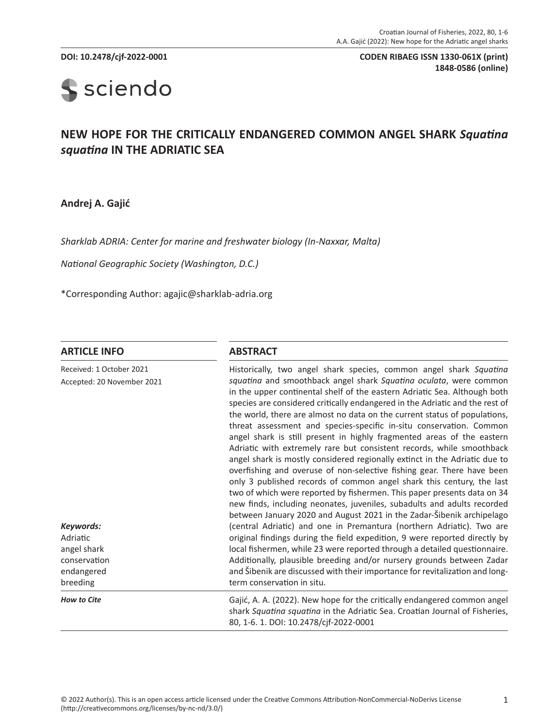**DOI: 10.2478/cjf-2022-0001 CODEN RIBAEG ISSN 1330-061X (print) 1848-0586 (online)**

# **S** sciendo

# **NEW HOPE FOR THE CRITICALLY ENDANGERED COMMON ANGEL SHARK** *Squatina squatina* **IN THE ADRIATIC SEA**

**Andrej A. Gajić**

*Sharklab ADRIA: Center for marine and freshwater biology (In-Naxxar, Malta)*

*National Geographic Society (Washington, D.C.)*

\*Corresponding Author: agajic@sharklab-adria.org

#### **ARTICLE INFO ABSTRACT**

| Received: 1 October 2021<br>Accepted: 20 November 2021<br>Keywords:<br>Adriatic<br>angel shark<br>conservation | Historically, two angel shark species, common angel shark Squatina<br>squatina and smoothback angel shark Squatina oculata, were common<br>in the upper continental shelf of the eastern Adriatic Sea. Although both<br>species are considered critically endangered in the Adriatic and the rest of<br>the world, there are almost no data on the current status of populations,<br>threat assessment and species-specific in-situ conservation. Common<br>angel shark is still present in highly fragmented areas of the eastern<br>Adriatic with extremely rare but consistent records, while smoothback<br>angel shark is mostly considered regionally extinct in the Adriatic due to<br>overfishing and overuse of non-selective fishing gear. There have been<br>only 3 published records of common angel shark this century, the last<br>two of which were reported by fishermen. This paper presents data on 34<br>new finds, including neonates, juveniles, subadults and adults recorded<br>between January 2020 and August 2021 in the Zadar-Šibenik archipelago<br>(central Adriatic) and one in Premantura (northern Adriatic). Two are<br>original findings during the field expedition, 9 were reported directly by<br>local fishermen, while 23 were reported through a detailed questionnaire.<br>Additionally, plausible breeding and/or nursery grounds between Zadar |
|----------------------------------------------------------------------------------------------------------------|------------------------------------------------------------------------------------------------------------------------------------------------------------------------------------------------------------------------------------------------------------------------------------------------------------------------------------------------------------------------------------------------------------------------------------------------------------------------------------------------------------------------------------------------------------------------------------------------------------------------------------------------------------------------------------------------------------------------------------------------------------------------------------------------------------------------------------------------------------------------------------------------------------------------------------------------------------------------------------------------------------------------------------------------------------------------------------------------------------------------------------------------------------------------------------------------------------------------------------------------------------------------------------------------------------------------------------------------------------------------------------------|
| endangered<br>breeding                                                                                         | and Sibenik are discussed with their importance for revitalization and long-<br>term conservation in situ.                                                                                                                                                                                                                                                                                                                                                                                                                                                                                                                                                                                                                                                                                                                                                                                                                                                                                                                                                                                                                                                                                                                                                                                                                                                                               |
| <b>How to Cite</b>                                                                                             | Gajić, A. A. (2022). New hope for the critically endangered common angel<br>shark Squatina squatina in the Adriatic Sea. Croatian Journal of Fisheries,<br>80, 1-6. 1. DOI: 10.2478/cjf-2022-0001                                                                                                                                                                                                                                                                                                                                                                                                                                                                                                                                                                                                                                                                                                                                                                                                                                                                                                                                                                                                                                                                                                                                                                                        |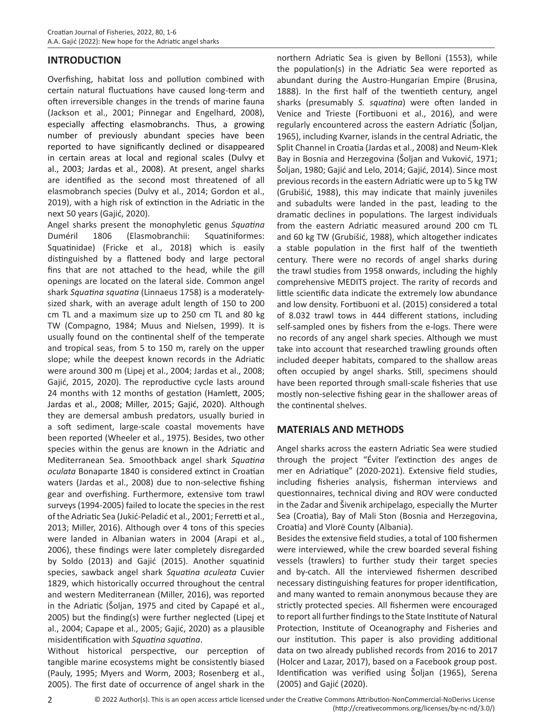#### **INTRODUCTION**

Overfishing, habitat loss and pollution combined with certain natural fluctuations have caused long-term and often irreversible changes in the trends of marine fauna (Jackson et al., 2001; Pinnegar and Engelhard, 2008), especially affecting elasmobranchs. Thus, a growing number of previously abundant species have been reported to have significantly declined or disappeared in certain areas at local and regional scales (Dulvy et al., 2003; Jardas et al., 2008). At present, angel sharks are identified as the second most threatened of all elasmobranch species (Dulvy et al., 2014; Gordon et al., 2019), with a high risk of extinction in the Adriatic in the next 50 years (Gajić, 2020).

Angel sharks present the monophyletic genus *Squatina* Duméril 1806 (Elasmobranchii: Squatiniformes: Squatinidae) (Fricke et al., 2018) which is easily distinguished by a flattened body and large pectoral fins that are not attached to the head, while the gill openings are located on the lateral side. Common angel shark *Squatina squatina* (Linnaeus 1758) is a moderatelysized shark, with an average adult length of 150 to 200 cm TL and a maximum size up to 250 cm TL and 80 kg TW (Compagno, 1984; Muus and Nielsen, 1999). It is usually found on the continental shelf of the temperate and tropical seas, from 5 to 150 m, rarely on the upper slope; while the deepest known records in the Adriatic were around 300 m (Lipej et al., 2004; Jardas et al., 2008; Gajić, 2015, 2020). The reproductive cycle lasts around 24 months with 12 months of gestation (Hamlett, 2005; Jardas et al., 2008; Miller, 2015; Gajić, 2020). Although they are demersal ambush predators, usually buried in a soft sediment, large-scale coastal movements have been reported (Wheeler et al., 1975). Besides, two other species within the genus are known in the Adriatic and Mediterranean Sea. Smoothback angel shark *Squatina oculata* Bonaparte 1840 is considered extinct in Croatian waters (Jardas et al., 2008) due to non-selective fishing gear and overfishing. Furthermore, extensive tom trawl surveys (1994-2005) failed to locate the species in the rest of the Adriatic Sea (Jukić-Peladić et al., 2001; Ferretti et al., 2013; Miller, 2016). Although over 4 tons of this species were landed in Albanian waters in 2004 (Arapi et al., 2006), these findings were later completely disregarded by Soldo (2013) and Gajić (2015). Another squatinid species, sawback angel shark *Squatina aculeata* Cuvier 1829, which historically occurred throughout the central and western Mediterranean (Miller, 2016), was reported in the Adriatic (Šoljan, 1975 and cited by Capapé et al., 2005) but the finding(s) were further neglected (Lipej et al., 2004; Capape et al., 2005; Gajić, 2020) as a plausible misidentification with *Squatina squatina*.

Without historical perspective, our perception of tangible marine ecosystems might be consistently biased (Pauly, 1995; Myers and Worm, 2003; Rosenberg et al., 2005). The first date of occurrence of angel shark in the

northern Adriatic Sea is given by Belloni (1553), while the population(s) in the Adriatic Sea were reported as abundant during the Austro-Hungarian Empire (Brusina, 1888). In the first half of the twentieth century, angel sharks (presumably *S. squatina*) were often landed in Venice and Trieste (Fortibuoni et al., 2016), and were regularly encountered across the eastern Adriatic (Šoljan, 1965), including Kvarner, islands in the central Adriatic, the Split Channel in Croatia (Jardas et al., 2008) and Neum-Klek Bay in Bosnia and Herzegovina (Šoljan and Vuković, 1971; Šoljan, 1980; Gajić and Lelo, 2014; Gajić, 2014). Since most previous records in the eastern Adriatic were up to 5 kg TW (Grubišić, 1988), this may indicate that mainly juveniles and subadults were landed in the past, leading to the dramatic declines in populations. The largest individuals from the eastern Adriatic measured around 200 cm TL and 60 kg TW (Grubišić, 1988), which altogether indicates a stable population in the first half of the twentieth century. There were no records of angel sharks during the trawl studies from 1958 onwards, including the highly comprehensive MEDITS project. The rarity of records and little scientific data indicate the extremely low abundance and low density. Fortibuoni et al. (2015) considered a total of 8.032 trawl tows in 444 different stations, including self-sampled ones by fishers from the e-logs. There were no records of any angel shark species. Although we must take into account that researched trawling grounds often included deeper habitats, compared to the shallow areas often occupied by angel sharks. Still, specimens should have been reported through small-scale fisheries that use mostly non-selective fishing gear in the shallower areas of the continental shelves.

#### **MATERIALS AND METHODS**

Angel sharks across the eastern Adriatic Sea were studied through the project "Éviter l'extinction des anges de mer en Adriatique" (2020-2021). Extensive field studies, including fisheries analysis, fisherman interviews and questionnaires, technical diving and ROV were conducted in the Zadar and Šivenik archipelago, especially the Murter Sea (Croatia), Bay of Mali Ston (Bosnia and Herzegovina, Croatia) and Vlorë County (Albania).

Besides the extensive field studies, a total of 100 fishermen were interviewed, while the crew boarded several fishing vessels (trawlers) to further study their target species and by-catch. All the interviewed fishermen described necessary distinguishing features for proper identification, and many wanted to remain anonymous because they are strictly protected species. All fishermen were encouraged to report all further findings to the State Institute of Natural Protection, Institute of Oceanography and Fisheries and our institution. This paper is also providing additional data on two already published records from 2016 to 2017 (Holcer and Lazar, 2017), based on a Facebook group post. Identification was verified using Šoljan (1965), Serena (2005) and Gajić (2020).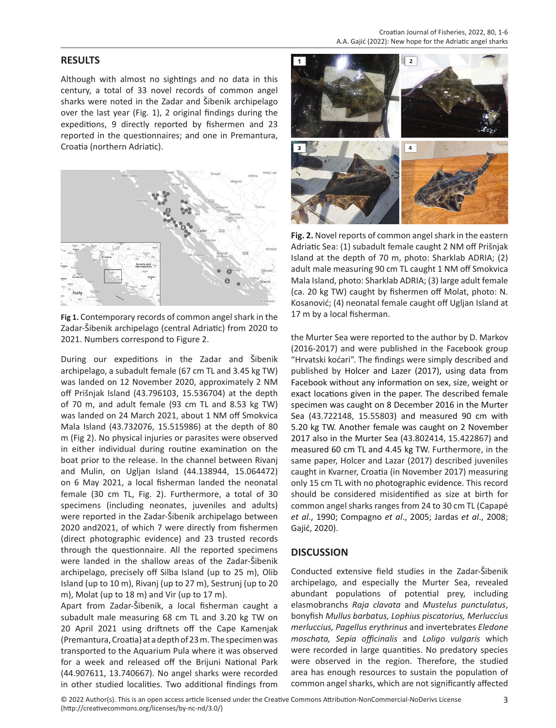#### **RESULTS**

Although with almost no sightings and no data in this century, a total of 33 novel records of common angel sharks were noted in the Zadar and Šibenik archipelago over the last year (Fig. 1), 2 original findings during the expeditions, 9 directly reported by fishermen and 23 reported in the questionnaires; and one in Premantura, Croatia (northern Adriatic).



**Fig 1.** Contemporary records of common angel shark in the Zadar-Šibenik archipelago (central Adriatic) from 2020 to 2021. Numbers correspond to Figure 2.

During our expeditions in the Zadar and Šibenik archipelago, a subadult female (67 cm TL and 3.45 kg TW) was landed on 12 November 2020, approximately 2 NM off Prišnjak Island (43.796103, 15.536704) at the depth of 70 m, and adult female (93 cm TL and 8.53 kg TW) was landed on 24 March 2021, about 1 NM off Smokvica Mala Island (43.732076, 15.515986) at the depth of 80 m (Fig 2). No physical injuries or parasites were observed in either individual during routine examination on the boat prior to the release. In the channel between Rivanj and Mulin, on Ugljan Island (44.138944, 15.064472) on 6 May 2021, a local fisherman landed the neonatal female (30 cm TL, Fig. 2). Furthermore, a total of 30 specimens (including neonates, juveniles and adults) were reported in the Zadar-Šibenik archipelago between 2020 and2021, of which 7 were directly from fishermen (direct photographic evidence) and 23 trusted records through the questionnaire. All the reported specimens were landed in the shallow areas of the Zadar-Šibenik archipelago, precisely off Silba Island (up to 25 m), Olib Island (up to 10 m), Rivanj (up to 27 m), Sestrunj (up to 20 m), Molat (up to 18 m) and Vir (up to 17 m).

Apart from Zadar-Šibenik, a local fisherman caught a subadult male measuring 68 cm TL and 3.20 kg TW on 20 April 2021 using driftnets off the Cape Kamenjak (Premantura, Croatia) at a depth of 23 m. The specimen was transported to the Aquarium Pula where it was observed for a week and released off the Brijuni National Park (44.907611, 13.740667). No angel sharks were recorded in other studied localities. Two additional findings from



**Fig. 2.** Novel reports of common angel shark in the eastern Adriatic Sea: (1) subadult female caught 2 NM off Prišnjak Island at the depth of 70 m, photo: Sharklab ADRIA; (2) adult male measuring 90 cm TL caught 1 NM off Smokvica Mala Island, photo: Sharklab ADRIA; (3) large adult female (ca. 20 kg TW) caught by fishermen off Molat, photo: N. Kosanović; (4) neonatal female caught off Ugljan Island at 17 m by a local fisherman.

the Murter Sea were reported to the author by D. Markov (2016-2017) and were published in the Facebook group "Hrvatski koćari". The findings were simply described and published by Holcer and Lazer (2017), using data from Facebook without any information on sex, size, weight or exact locations given in the paper. The described female specimen was caught on 8 December 2016 in the Murter Sea (43.722148, 15.55803) and measured 90 cm with 5.20 kg TW. Another female was caught on 2 November 2017 also in the Murter Sea (43.802414, 15.422867) and measured 60 cm TL and 4.45 kg TW. Furthermore, in the same paper, Holcer and Lazar (2017) described juveniles caught in Kvarner, Croatia (in November 2017) measuring only 15 cm TL with no photographic evidence. This record should be considered misidentified as size at birth for common angel sharks ranges from 24 to 30 cm TL (Capapé *et al*., 1990; Compagno *et al*., 2005; Jardas *et al*., 2008; Gajić, 2020).

#### **DISCUSSION**

Conducted extensive field studies in the Zadar-Šibenik archipelago, and especially the Murter Sea, revealed abundant populations of potential prey, including elasmobranchs *Raja clavata* and *Mustelus punctulatus*, bonyfish *Mullus barbatus, Lophius piscatorius, Merluccius merluccius, Pagellus erythrinus* and invertebrates *Eledone moschata, Sepia officinalis* and *Loligo vulgaris* which were recorded in large quantities. No predatory species were observed in the region. Therefore, the studied area has enough resources to sustain the population of common angel sharks, which are not significantly affected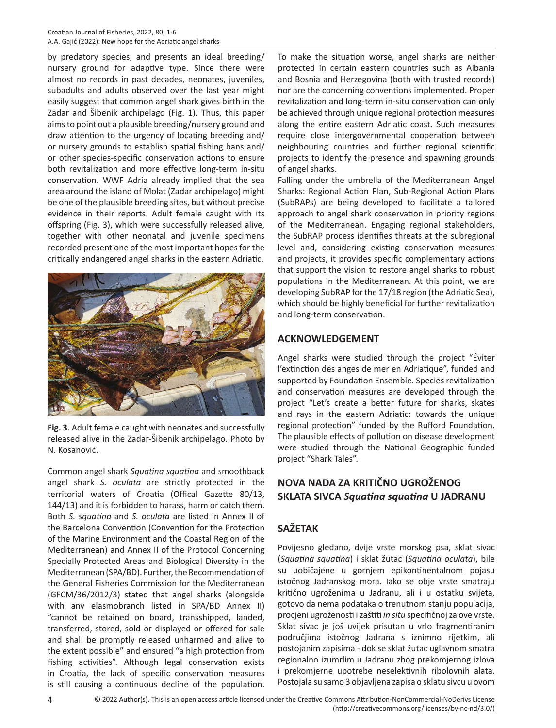by predatory species, and presents an ideal breeding/ nursery ground for adaptive type. Since there were almost no records in past decades, neonates, juveniles, subadults and adults observed over the last year might easily suggest that common angel shark gives birth in the Zadar and Šibenik archipelago (Fig. 1). Thus, this paper aims to point out a plausible breeding/nursery ground and draw attention to the urgency of locating breeding and/ or nursery grounds to establish spatial fishing bans and/ or other species-specific conservation actions to ensure both revitalization and more effective long-term in-situ conservation. WWF Adria already implied that the sea area around the island of Molat (Zadar archipelago) might be one of the plausible breeding sites, but without precise evidence in their reports. Adult female caught with its offspring (Fig. 3), which were successfully released alive, together with other neonatal and juvenile specimens recorded present one of the most important hopes for the critically endangered angel sharks in the eastern Adriatic.



**Fig. 3.** Adult female caught with neonates and successfully released alive in the Zadar-Šibenik archipelago. Photo by N. Kosanović.

Common angel shark *Squatina squatina* and smoothback angel shark *S. oculata* are strictly protected in the territorial waters of Croatia (Offical Gazette 80/13, 144/13) and it is forbidden to harass, harm or catch them. Both *S. squatina* and *S. oculata* are listed in Annex II of the Barcelona Convention (Convention for the Protection of the Marine Environment and the Coastal Region of the Mediterranean) and Annex II of the Protocol Concerning Specially Protected Areas and Biological Diversity in the Mediterranean (SPA/BD). Further, the Recommendation of the General Fisheries Commission for the Mediterranean (GFCM/36/2012/3) stated that angel sharks (alongside with any elasmobranch listed in SPA/BD Annex II) "cannot be retained on board, transshipped, landed, transferred, stored, sold or displayed or offered for sale and shall be promptly released unharmed and alive to the extent possible" and ensured "a high protection from fishing activities". Although legal conservation exists in Croatia, the lack of specific conservation measures is still causing a continuous decline of the population.

To make the situation worse, angel sharks are neither protected in certain eastern countries such as Albania and Bosnia and Herzegovina (both with trusted records) nor are the concerning conventions implemented. Proper revitalization and long-term in-situ conservation can only be achieved through unique regional protection measures along the entire eastern Adriatic coast. Such measures require close intergovernmental cooperation between neighbouring countries and further regional scientific projects to identify the presence and spawning grounds of angel sharks.

Falling under the umbrella of the Mediterranean Angel Sharks: Regional Action Plan, Sub-Regional Action Plans (SubRAPs) are being developed to facilitate a tailored approach to angel shark conservation in priority regions of the Mediterranean. Engaging regional stakeholders, the SubRAP process identifies threats at the subregional level and, considering existing conservation measures and projects, it provides specific complementary actions that support the vision to restore angel sharks to robust populations in the Mediterranean. At this point, we are developing SubRAP for the 17/18 region (the Adriatic Sea), which should be highly beneficial for further revitalization and long-term conservation.

#### **ACKNOWLEDGEMENT**

Angel sharks were studied through the project "Éviter l'extinction des anges de mer en Adriatique", funded and supported by Foundation Ensemble. Species revitalization and conservation measures are developed through the project "Let's create a better future for sharks, skates and rays in the eastern Adriatic: towards the unique regional protection" funded by the Rufford Foundation. The plausible effects of pollution on disease development were studied through the National Geographic funded project "Shark Tales".

# **NOVA NADA ZA KRITIČNO UGROŽENOG SKLATA SIVCA** *Squatina squatina* **U JADRANU**

## **SAŽETAK**

Povijesno gledano, dvije vrste morskog psa, sklat sivac (*Squatina squatina*) i sklat žutac (*Squatina oculata*), bile su uobičajene u gornjem epikontinentalnom pojasu istočnog Jadranskog mora. Iako se obje vrste smatraju kritično ugroženima u Jadranu, ali i u ostatku svijeta, gotovo da nema podataka o trenutnom stanju populacija, procjeni ugroženosti i zaštiti *in situ* specifičnoj za ove vrste. Sklat sivac je još uvijek prisutan u vrlo fragmentiranim područjima istočnog Jadrana s iznimno rijetkim, ali postojanim zapisima - dok se sklat žutac uglavnom smatra regionalno izumrlim u Jadranu zbog prekomjernog izlova i prekomjerne upotrebe neselektivnih ribolovnih alata. Postojala su samo 3 objavljena zapisa o sklatu sivcu u ovom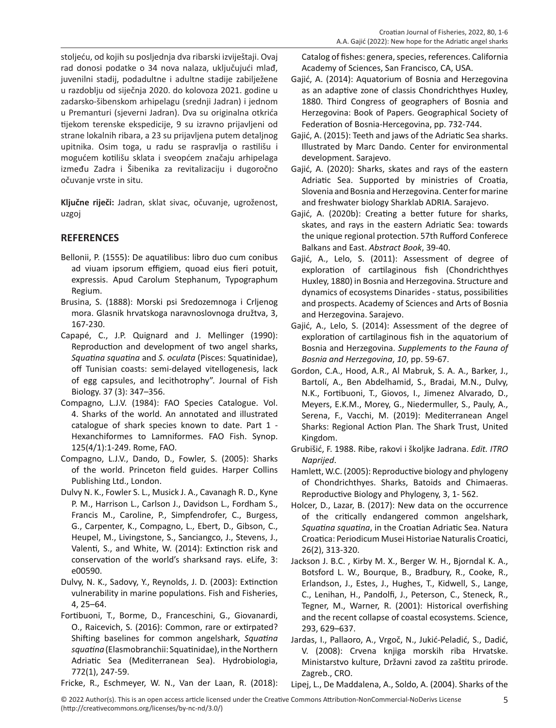stoljeću, od kojih su posljednja dva ribarski izviještaji. Ovaj rad donosi podatke o 34 nova nalaza, uključujući mlađ, juvenilni stadij, podadultne i adultne stadije zabilježene u razdoblju od siječnja 2020. do kolovoza 2021. godine u zadarsko-šibenskom arhipelagu (srednji Jadran) i jednom u Premanturi (sjeverni Jadran). Dva su originalna otkrića tijekom terenske ekspedicije, 9 su izravno prijavljeni od strane lokalnih ribara, a 23 su prijavljena putem detaljnog upitnika. Osim toga, u radu se raspravlja o rastilišu i mogućem kotilišu sklata i sveopćem značaju arhipelaga između Zadra i Šibenika za revitalizaciju i dugoročno očuvanje vrste in situ.

**Ključne riječi:** Jadran, sklat sivac, očuvanje, ugroženost, uzgoj

### **REFERENCES**

- Bellonii, P. (1555): De aquatilibus: libro duo cum conibus ad viuam ipsorum effigiem, quoad eius fieri potuit, expressis. Apud Carolum Stephanum, Typographum Regium.
- Brusina, S. (1888): Morski psi Sredozemnoga i Crljenog mora. Glasnik hrvatskoga naravnoslovnoga družtva, 3, 167-230.
- Capapé, C., J.P. Quignard and J. Mellinger (1990): Reproduction and development of two angel sharks, *Squatina squatina* and *S. oculata* (Pisces: Squatinidae), off Tunisian coasts: semi-delayed vitellogenesis, lack of egg capsules, and lecithotrophy". Journal of Fish Biology. 37 (3): 347–356.
- Compagno, L.J.V. (1984): FAO Species Catalogue. Vol. 4. Sharks of the world. An annotated and illustrated catalogue of shark species known to date. Part 1 - Hexanchiformes to Lamniformes. FAO Fish. Synop. 125(4/1):1-249. Rome, FAO.
- Compagno, L.J.V., Dando, D., Fowler, S. (2005): Sharks of the world. Princeton field guides. Harper Collins Publishing Ltd., London.
- Dulvy N. K., Fowler S. L., Musick J. A., Cavanagh R. D., Kyne P. M., Harrison L., Carlson J., Davidson L., Fordham S., Francis M., Caroline, P., Simpfendrofer, C., Burgess, G., Carpenter, K., Compagno, L., Ebert, D., Gibson, C., Heupel, M., Livingstone, S., Sanciangco, J., Stevens, J., Valenti, S., and White, W. (2014): Extinction risk and conservation of the world's sharksand rays. eLife, 3: e00590.
- Dulvy, N. K., Sadovy, Y., Reynolds, J. D. (2003): Extinction vulnerability in marine populations. Fish and Fisheries, 4, 25–64.
- Fortibuoni, T., Borme, D., Franceschini, G., Giovanardi, O., Raicevich, S. (2016): Common, rare or extirpated? Shifting baselines for common angelshark, *Squatina squatina* (Elasmobranchii: Squatinidae), in the Northern Adriatic Sea (Mediterranean Sea). Hydrobiologia, 772(1), 247-59.

Catalog of fishes: genera, species, references. California Academy of Sciences, San Francisco, CA, USA.

- Gajić, A. (2014): Aquatorium of Bosnia and Herzegovina as an adaptive zone of classis Chondrichthyes Huxley, 1880. Third Congress of geographers of Bosnia and Herzegovina: Book of Papers. Geographical Society of Federation of Bosnia-Hercegovina, pp. 732-744.
- Gajić, A. (2015): Teeth and jaws of the Adriatic Sea sharks. Illustrated by Marc Dando. Center for environmental development. Sarajevo.
- Gajić, A. (2020): Sharks, skates and rays of the eastern Adriatic Sea. Supported by ministries of Croatia, Slovenia and Bosnia and Herzegovina. Center for marine and freshwater biology Sharklab ADRIA. Sarajevo.
- Gajić, A. (2020b): Creating a better future for sharks, skates, and rays in the eastern Adriatic Sea: towards the unique regional protection. 57th Rufford Conferece Balkans and East. *Abstract Book*, 39-40.
- Gajić, A., Lelo, S. (2011): Assessment of degree of exploration of cartilaginous fish (Chondrichthyes Huxley, 1880) in Bosnia and Herzegovina. Structure and dynamics of ecosystems Dinarides - status, possibilities and prospects. Academy of Sciences and Arts of Bosnia and Herzegovina. Sarajevo.
- Gajić, A., Lelo, S. (2014): Assessment of the degree of exploration of cartilaginous fish in the aquatorium of Bosnia and Herzegovina. *Supplements to the Fauna of Bosnia and Herzegovina*, *10*, pp. 59-67.
- Gordon, C.A., Hood, A.R., Al Mabruk, S. A. A., Barker, J., Bartolí, A., Ben Abdelhamid, S., Bradai, M.N., Dulvy, N.K., Fortibuoni, T., Giovos, I., Jimenez Alvarado, D., Meyers, E.K.M., Morey, G., Niedermuller, S., Pauly, A., Serena, F., Vacchi, M. (2019): Mediterranean Angel Sharks: Regional Action Plan. The Shark Trust, United Kingdom.
- Grubišić, F. 1988. Ribe, rakovi i školjke Jadrana. *Edit. ITRO Naprijed*.
- Hamlett, W.C. (2005): Reproductive biology and phylogeny of Chondrichthyes. Sharks, Batoids and Chimaeras. Reproductive Biology and Phylogeny, 3, 1- 562.
- Holcer, D., Lazar, B. (2017): New data on the occurrence of the critically endangered common angelshark, *Squatina squatina*, in the Croatian Adriatic Sea. Natura Croatica: Periodicum Musei Historiae Naturalis Croatici, 26(2), 313-320.
- Jackson J. B.C. , Kirby M. X., Berger W. H., Bjorndal K. A., Botsford L. W., Bourque, B., Bradbury, R., Cooke, R., Erlandson, J., Estes, J., Hughes, T., Kidwell, S., Lange, C., Lenihan, H., Pandolfi, J., Peterson, C., Steneck, R., Tegner, M., Warner, R. (2001): Historical overfishing and the recent collapse of coastal ecosystems. Science, 293, 629–637.
- Jardas, I., Pallaoro, A., Vrgoč, N., Jukić-Peladić, S., Dadić, V. (2008): Crvena knjiga morskih riba Hrvatske. Ministarstvo kulture, Državni zavod za zaštitu prirode. Zagreb., CRO.
- Fricke, R., Eschmeyer, W. N., Van der Laan, R. (2018):
- Lipej, L., De Maddalena, A., Soldo, A. (2004). Sharks of the